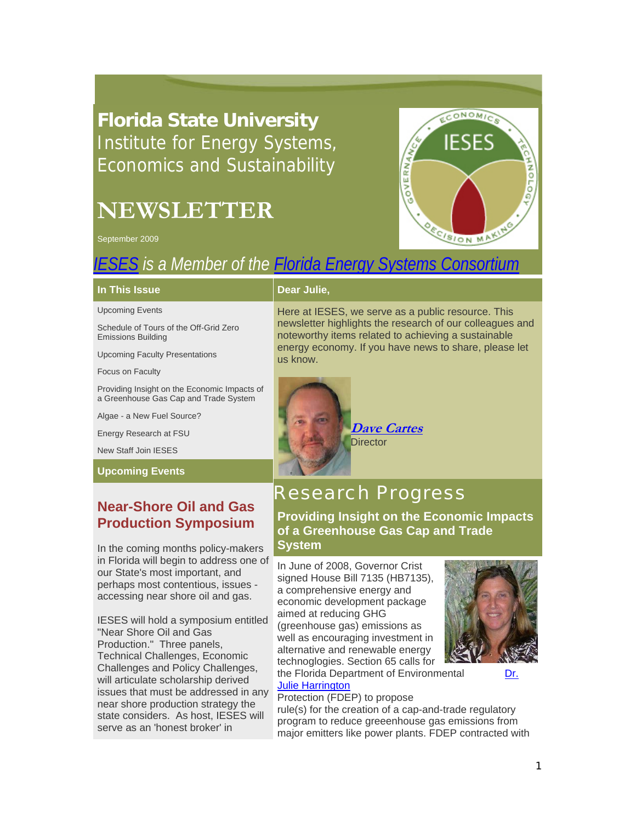## **Florida State University**  Institute for Energy Systems, Economics and Sustainability

# **NEWSLETTER**

September 2009



## *IESES is a Member of the Florida Energy Systems Consortium*

### **In This Issue**

Upcoming Events

Schedule of Tours of the Off-Grid Zero Emissions Building

Upcoming Faculty Presentations

Focus on Faculty

Providing Insight on the Economic Impacts of a Greenhouse Gas Cap and Trade System

Algae - a New Fuel Source?

Energy Research at FSU

New Staff Join IESES

### **Upcoming Events**

## **Near-Shore Oil and Gas Production Symposium**

In the coming months policy-makers in Florida will begin to address one of our State's most important, and perhaps most contentious, issues accessing near shore oil and gas.

IESES will hold a symposium entitled "Near Shore Oil and Gas Production." Three panels, Technical Challenges, Economic Challenges and Policy Challenges, will articulate scholarship derived issues that must be addressed in any near shore production strategy the state considers. As host, IESES will serve as an 'honest broker' in

### **Dear Julie,**

Here at IESES, we serve as a public resource. This newsletter highlights the research of our colleagues and noteworthy items related to achieving a sustainable energy economy. If you have news to share, please let us know.



**Dave Cartes**

## Research Progress

**Providing Insight on the Economic Impacts of a Greenhouse Gas Cap and Trade System**

In June of 2008, Governor Crist signed House Bill 7135 (HB7135), a comprehensive energy and economic development package aimed at reducing GHG (greenhouse gas) emissions as well as encouraging investment in alternative and renewable energy technoglogies. Section 65 calls for the Florida Department of Environmental Dr.



#### Julie Harrington Protection (FDEP) to propose

rule(s) for the creation of a cap-and-trade regulatory program to reduce greeenhouse gas emissions from major emitters like power plants. FDEP contracted with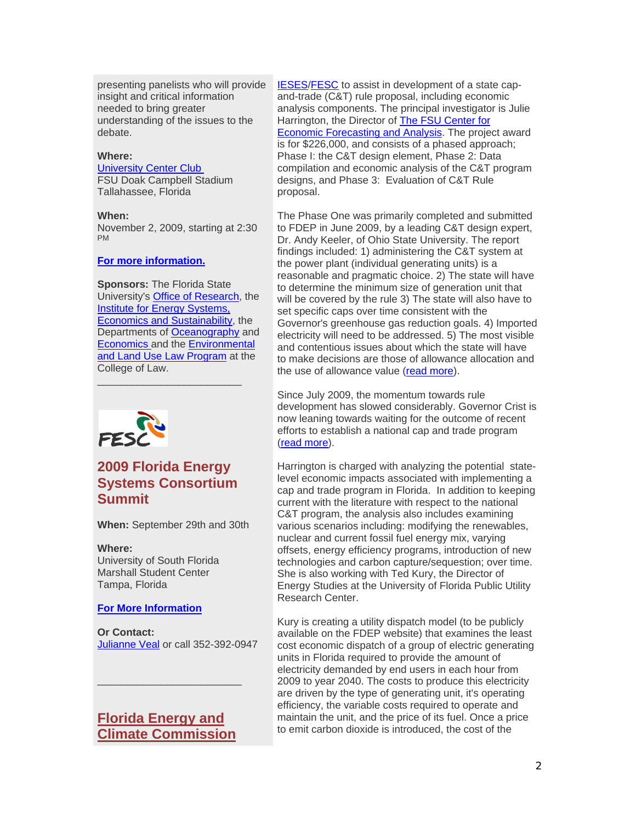presenting panelists who will provide insight and critical information needed to bring greater understanding of the issues to the debate.

### **Where:**

### University Center Club

FSU Doak Campbell Stadium Tallahassee, Florida

#### **When:**

November 2, 2009, starting at 2:30 PM

### **For more information.**

**Sponsors:** The Florida State University's Office of Research, the **Institute for Energy Systems,** Economics and Sustainability, the Departments of Oceanography and Economics and the Environmental and Land Use Law Program at the College of Law. \_\_\_\_\_\_\_\_\_\_\_\_\_\_\_\_\_\_\_\_\_\_\_\_\_



### **2009 Florida Energy Systems Consortium Summit**

**When:** September 29th and 30th

### **Where:**

University of South Florida Marshall Student Center Tampa, Florida

#### **For More Information**

**Or Contact:**  Julianne Veal or call 352-392-0947

### **Florida Energy and Climate Commission**

 $\frac{1}{2}$  ,  $\frac{1}{2}$  ,  $\frac{1}{2}$  ,  $\frac{1}{2}$  ,  $\frac{1}{2}$  ,  $\frac{1}{2}$  ,  $\frac{1}{2}$  ,  $\frac{1}{2}$  ,  $\frac{1}{2}$  ,  $\frac{1}{2}$  ,  $\frac{1}{2}$  ,  $\frac{1}{2}$  ,  $\frac{1}{2}$  ,  $\frac{1}{2}$  ,  $\frac{1}{2}$  ,  $\frac{1}{2}$  ,  $\frac{1}{2}$  ,  $\frac{1}{2}$  ,  $\frac{1$ 

IESES/FESC to assist in development of a state capand-trade (C&T) rule proposal, including economic analysis components. The principal investigator is Julie Harrington, the Director of The FSU Center for Economic Forecasting and Analysis. The project award is for \$226,000, and consists of a phased approach; Phase I: the C&T design element, Phase 2: Data compilation and economic analysis of the C&T program designs, and Phase 3: Evaluation of C&T Rule proposal.

The Phase One was primarily completed and submitted to FDEP in June 2009, by a leading C&T design expert, Dr. Andy Keeler, of Ohio State University. The report findings included: 1) administering the C&T system at the power plant (individual generating units) is a reasonable and pragmatic choice. 2) The state will have to determine the minimum size of generation unit that will be covered by the rule 3) The state will also have to set specific caps over time consistent with the Governor's greenhouse gas reduction goals. 4) Imported electricity will need to be addressed. 5) The most visible and contentious issues about which the state will have to make decisions are those of allowance allocation and the use of allowance value (read more).

Since July 2009, the momentum towards rule development has slowed considerably. Governor Crist is now leaning towards waiting for the outcome of recent efforts to establish a national cap and trade program (read more).

Harrington is charged with analyzing the potential statelevel economic impacts associated with implementing a cap and trade program in Florida. In addition to keeping current with the literature with respect to the national C&T program, the analysis also includes examining various scenarios including: modifying the renewables, nuclear and current fossil fuel energy mix, varying offsets, energy efficiency programs, introduction of new technologies and carbon capture/sequestion; over time. She is also working with Ted Kury, the Director of Energy Studies at the University of Florida Public Utility Research Center.

Kury is creating a utility dispatch model (to be publicly available on the FDEP website) that examines the least cost economic dispatch of a group of electric generating units in Florida required to provide the amount of electricity demanded by end users in each hour from 2009 to year 2040. The costs to produce this electricity are driven by the type of generating unit, it's operating efficiency, the variable costs required to operate and maintain the unit, and the price of its fuel. Once a price to emit carbon dioxide is introduced, the cost of the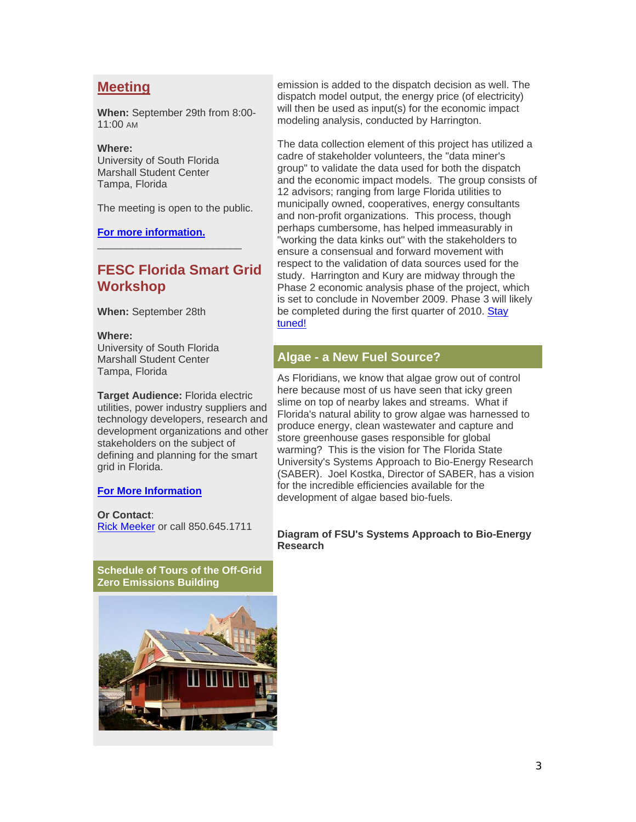### **Meeting**

**When:** September 29th from 8:00- 11:00 AM

### **Where:**

University of South Florida Marshall Student Center Tampa, Florida

The meeting is open to the public.

 $\frac{1}{2}$  ,  $\frac{1}{2}$  ,  $\frac{1}{2}$  ,  $\frac{1}{2}$  ,  $\frac{1}{2}$  ,  $\frac{1}{2}$  ,  $\frac{1}{2}$  ,  $\frac{1}{2}$  ,  $\frac{1}{2}$  ,  $\frac{1}{2}$  ,  $\frac{1}{2}$  ,  $\frac{1}{2}$  ,  $\frac{1}{2}$  ,  $\frac{1}{2}$  ,  $\frac{1}{2}$  ,  $\frac{1}{2}$  ,  $\frac{1}{2}$  ,  $\frac{1}{2}$  ,  $\frac{1$ 

**For more information.**

### **FESC Florida Smart Grid Workshop**

**When:** September 28th

### **Where:**

University of South Florida Marshall Student Center Tampa, Florida

**Target Audience:** Florida electric utilities, power industry suppliers and technology developers, research and development organizations and other stakeholders on the subject of defining and planning for the smart grid in Florida.

### **For More Information**

**Or Contact**: Rick Meeker or call 850.645.1711

**Schedule of Tours of the Off-Grid Zero Emissions Building**



emission is added to the dispatch decision as well. The dispatch model output, the energy price (of electricity) will then be used as input(s) for the economic impact modeling analysis, conducted by Harrington.

The data collection element of this project has utilized a cadre of stakeholder volunteers, the "data miner's group" to validate the data used for both the dispatch and the economic impact models. The group consists of 12 advisors; ranging from large Florida utilities to municipally owned, cooperatives, energy consultants and non-profit organizations. This process, though perhaps cumbersome, has helped immeasurably in "working the data kinks out" with the stakeholders to ensure a consensual and forward movement with respect to the validation of data sources used for the study. Harrington and Kury are midway through the Phase 2 economic analysis phase of the project, which is set to conclude in November 2009. Phase 3 will likely be completed during the first quarter of 2010. Stay tuned!

### **Algae - a New Fuel Source?**

As Floridians, we know that algae grow out of control here because most of us have seen that icky green slime on top of nearby lakes and streams. What if Florida's natural ability to grow algae was harnessed to produce energy, clean wastewater and capture and store greenhouse gases responsible for global warming? This is the vision for The Florida State University's Systems Approach to Bio-Energy Research (SABER). Joel Kostka, Director of SABER, has a vision for the incredible efficiencies available for the development of algae based bio-fuels.

### **Diagram of FSU's Systems Approach to Bio-Energy Research**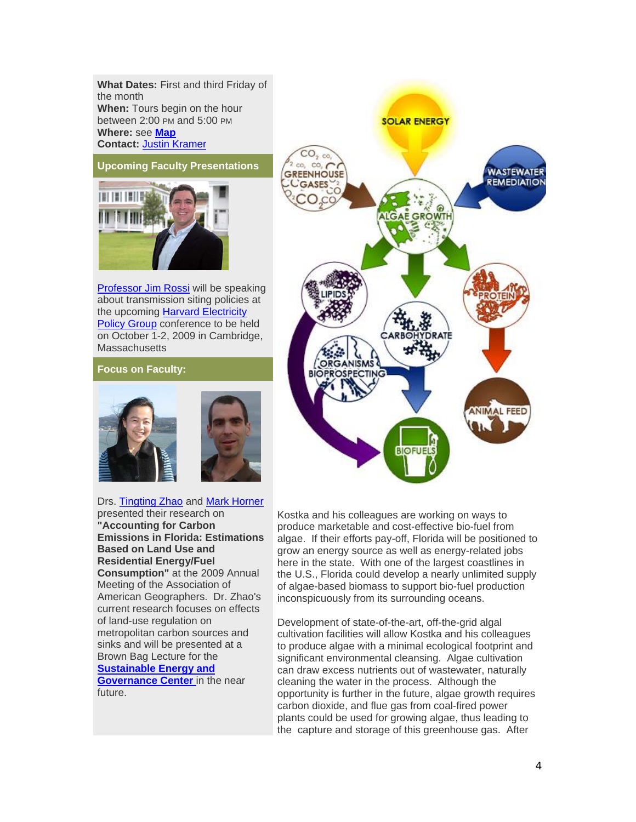**What Dates:** First and third Friday of the month **When:** Tours begin on the hour between 2:00 PM and 5:00 PM **Where:** see **Map Contact:** Justin Kramer

**Upcoming Faculty Presentations**

Professor Jim Rossi will be speaking about transmission siting policies at the upcoming Harvard Electricity Policy Group conference to be held on October 1-2, 2009 in Cambridge, **Massachusetts** 

### **Focus on Faculty:**



Drs. Tingting Zhao and Mark Horner presented their research on **"Accounting for Carbon Emissions in Florida: Estimations Based on Land Use and Residential Energy/Fuel Consumption"** at the 2009 Annual Meeting of the Association of American Geographers. Dr. Zhao's current research focuses on effects of land-use regulation on metropolitan carbon sources and sinks and will be presented at a Brown Bag Lecture for the **Sustainable Energy and Governance Center** in the near future.



Kostka and his colleagues are working on ways to produce marketable and cost-effective bio-fuel from algae. If their efforts pay-off, Florida will be positioned to grow an energy source as well as energy-related jobs here in the state. With one of the largest coastlines in the U.S., Florida could develop a nearly unlimited supply of algae-based biomass to support bio-fuel production inconspicuously from its surrounding oceans.

Development of state-of-the-art, off-the-grid algal cultivation facilities will allow Kostka and his colleagues to produce algae with a minimal ecological footprint and significant environmental cleansing. Algae cultivation can draw excess nutrients out of wastewater, naturally cleaning the water in the process. Although the opportunity is further in the future, algae growth requires carbon dioxide, and flue gas from coal-fired power plants could be used for growing algae, thus leading to the capture and storage of this greenhouse gas. After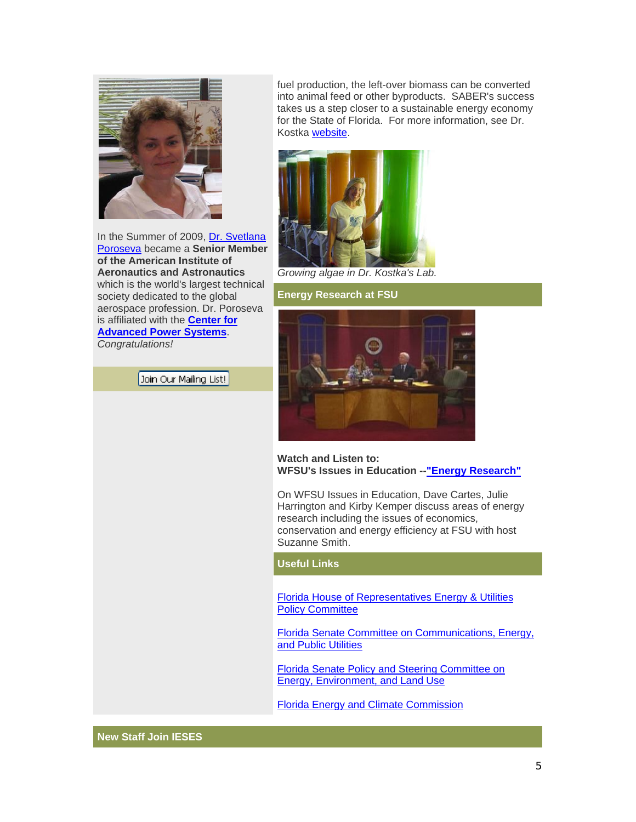

In the Summer of 2009, Dr. Svetlana Poroseva became a **Senior Member of the American Institute of Aeronautics and Astronautics** which is the world's largest technical society dedicated to the global aerospace profession. Dr. Poroseva is affiliated with the **Center for Advanced Power Systems**. *Congratulations!*

Join Our Mailing List!

fuel production, the left-over biomass can be converted into animal feed or other byproducts. SABER's success takes us a step closer to a sustainable energy economy for the State of Florida. For more information, see Dr. Kostka website.



*Growing algae in Dr. Kostka's Lab.* 

### **Energy Research at FSU**



**Watch and Listen to: WFSU's Issues in Education --"Energy Research"**

On WFSU Issues in Education, Dave Cartes, Julie Harrington and Kirby Kemper discuss areas of energy research including the issues of economics, conservation and energy efficiency at FSU with host Suzanne Smith.

**Useful Links**

Florida House of Representatives Energy & Utilities **Policy Committee** 

Florida Senate Committee on Communications, Energy, and Public Utilities

Florida Senate Policy and Steering Committee on Energy, Environment, and Land Use

Florida Energy and Climate Commission

**New Staff Join IESES**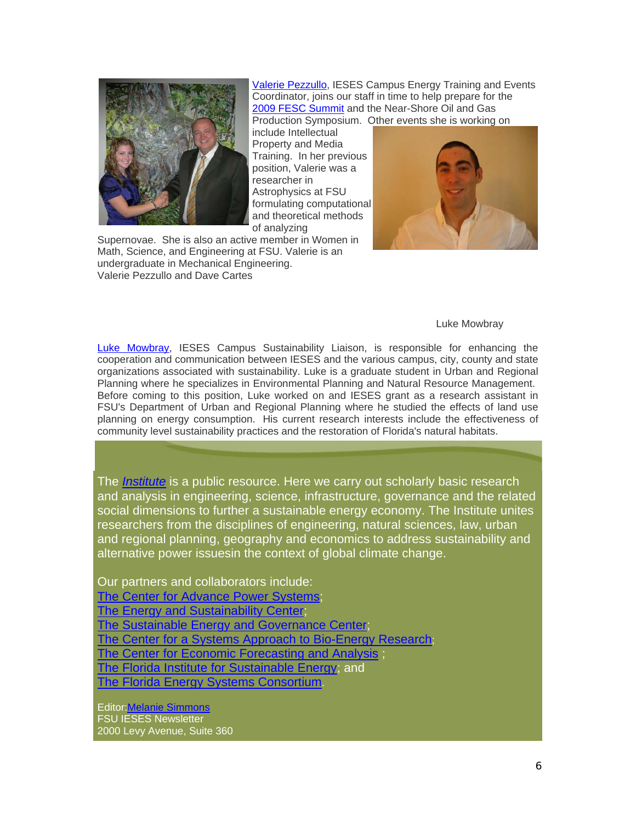

Valerie Pezzullo, IESES Campus Energy Training and Events Coordinator, joins our staff in time to help prepare for the 2009 FESC Summit and the Near-Shore Oil and Gas Production Symposium. Other events she is working on

include Intellectual Property and Media Training. In her previous position, Valerie was a researcher in Astrophysics at FSU formulating computational and theoretical methods of analyzing

Supernovae. She is also an active member in Women in Math, Science, and Engineering at FSU. Valerie is an undergraduate in Mechanical Engineering. Valerie Pezzullo and Dave Cartes



### Luke Mowbray

Luke Mowbray, IESES Campus Sustainability Liaison, is responsible for enhancing the cooperation and communication between IESES and the various campus, city, county and state organizations associated with sustainability. Luke is a graduate student in Urban and Regional Planning where he specializes in Environmental Planning and Natural Resource Management. Before coming to this position, Luke worked on and IESES grant as a research assistant in FSU's Department of Urban and Regional Planning where he studied the effects of land use planning on energy consumption. His current research interests include the effectiveness of community level sustainability practices and the restoration of Florida's natural habitats.

The *Institute* is a public resource. Here we carry out scholarly basic research and analysis in engineering, science, infrastructure, governance and the related social dimensions to further a sustainable energy economy. The Institute unites researchers from the disciplines of engineering, natural sciences, law, urban and regional planning, geography and economics to address sustainability and alternative power issuesin the context of global climate change.

Our partners and collaborators include:

The Center for Advance Power Systems;

The Energy and Sustainability Center;

The Sustainable Energy and Governance Center;

The Center for a Systems Approach to Bio-Energy Research;

The Center for Economic Forecasting and Analysis ;

The Florida Institute for Sustainable Energy; and

The Florida Energy Systems Consortium.

Editor:Melanie Simmons FSU IESES Newsletter 2000 Levy Avenue, Suite 360